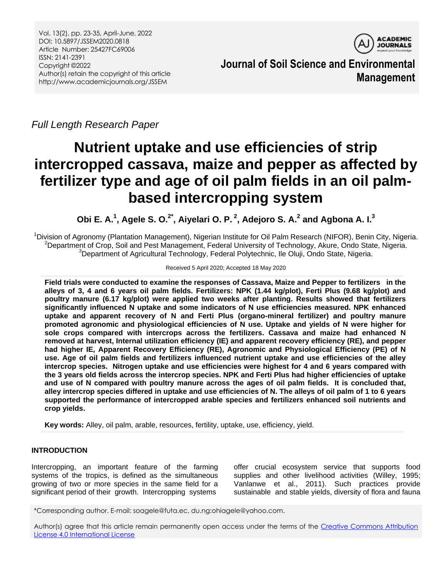Vol. 13(2), pp. 23-35, April-June, 2022 DOI: 10.5897/JSSEM2020.0818 Article Number: 25427FC69006 ISSN: 2141-2391 Copyright ©2022 Author(s) retain the copyright of this article http://www.academicjournals.org/JSSEM



**Journal of Soil Science and Environmental Management**

*Full Length Research Paper*

# **Nutrient uptake and use efficiencies of strip intercropped cassava, maize and pepper as affected by fertilizer type and age of oil palm fields in an oil palmbased intercropping system**

**Obi E. A.<sup>1</sup> , Agele S. O.2\* , Aiyelari O. P. <sup>2</sup> , Adejoro S. A.<sup>2</sup> and Agbona A. I. 3**

<sup>1</sup>Division of Agronomy (Plantation Management), Nigerian Institute for Oil Palm Research (NIFOR), Benin City, Nigeria. <sup>2</sup>Department of Crop, Soil and Pest Management, Federal University of Technology, Akure, Ondo State, Nigeria. <sup>3</sup>Department of Agricultural Technology, Federal Polytechnic, Ile Oluji, Ondo State, Nigeria.

#### Received 5 April 2020; Accepted 18 May 2020

**Field trials were conducted to examine the responses of Cassava, Maize and Pepper to fertilizers in the alleys of 3, 4 and 6 years oil palm fields. Fertilizers: NPK (1.44 kg/plot), Ferti Plus (9.68 kg/plot) and poultry manure (6.17 kg/plot) were applied two weeks after planting. Results showed that fertilizers significantly influenced N uptake and some indicators of N use efficiencies measured. NPK enhanced uptake and apparent recovery of N and Ferti Plus (organo-mineral fertilizer) and poultry manure promoted agronomic and physiological efficiencies of N use. Uptake and yields of N were higher for sole crops compared with intercrops across the fertilizers. Cassava and maize had enhanced N removed at harvest, Internal utilization efficiency (IE) and apparent recovery efficiency (RE), and pepper had higher IE, Apparent Recovery Efficiency (RE), Agronomic and Physiological Efficiency (PE) of N use. Age of oil palm fields and fertilizers influenced nutrient uptake and use efficiencies of the alley intercrop species. Nitrogen uptake and use efficiencies were highest for 4 and 6 years compared with the 3 years old fields across the intercrop species. NPK and Ferti Plus had higher efficiencies of uptake and use of N compared with poultry manure across the ages of oil palm fields. It is concluded that, alley intercrop species differed in uptake and use efficiencies of N. The alleys of oil palm of 1 to 6 years supported the performance of intercropped arable species and fertilizers enhanced soil nutrients and crop yields.** 

**Key words:** Alley, oil palm, arable, resources, fertility, uptake, use, efficiency, yield.

# **INTRODUCTION**

Intercropping, an important feature of the farming systems of the tropics, is defined as the simultaneous growing of two or more species in the same field for a significant period of their growth. Intercropping systems

offer crucial ecosystem service that supports food supplies and other livelihood activities (Willey, 1995; Vanlanwe et al., 2011). Such practices provide sustainable and stable yields, diversity of flora and fauna

Author(s) agree that this article remain permanently open access under the terms of the [Creative Commons Attribution](http://creativecommons.org/licenses/by/4.0/deed.en_US)  [License 4.0 International License](http://creativecommons.org/licenses/by/4.0/deed.en_US)

<sup>\*</sup>Corresponding author. E-mail: soagele@futa.ec, du.ng:ohiagele@yahoo.com.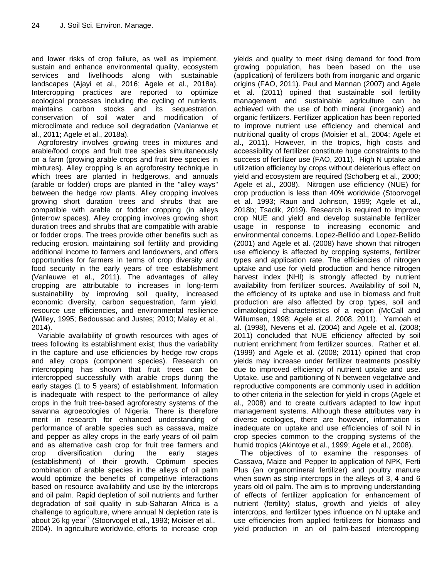and lower risks of crop failure, as well as implement, sustain and enhance environmental quality, ecosystem services and livelihoods along with sustainable landscapes (Ajayi et al., 2016; Agele et al., 2018a). Intercropping practices are reported to optimize ecological processes including the cycling of nutrients, maintains carbon stocks and its sequestration, conservation of soil water and modification of microclimate and reduce soil degradation (Vanlanwe et al., 2011; Agele et al., 2018a).

Agroforestry involves growing trees in mixtures and arable/food crops and fruit tree species simultaneously on a farm (growing arable crops and fruit tree species in mixtures). Alley cropping is an agroforestry technique in which trees are planted in hedgerows, and annuals (arable or fodder) crops are planted in the "alley ways" between the hedge row plants. Alley cropping involves growing short duration trees and shrubs that are compatible with arable or fodder cropping (in alleys (interrow spaces). Alley cropping involves growing short duration trees and shrubs that are compatible with arable or fodder crops. The trees provide other benefits such as reducing erosion, maintaining soil fertility and providing additional income to farmers and landowners, and offers opportunities for farmers in terms of crop diversity and food security in the early years of tree establishment (Vanlauwe et al., 2011). The advantages of alley cropping are attributable to increases in long-term sustainability by improving soil quality, increased economic diversity, carbon sequestration, farm yield, resource use efficiencies, and environmental resilience (Willey, 1995; Bedoussac and Justes; 2010; Malay et al., 2014).

Variable availability of growth resources with ages of trees following its establishment exist; thus the variability in the capture and use efficiencies by hedge row crops and alley crops (component species). Research on intercropping has shown that fruit trees can be intercropped successfully with arable crops during the early stages (1 to 5 years) of establishment. Information is inadequate with respect to the performance of alley crops in the fruit tree-based agroforestry systems of the savanna agroecologies of Nigeria. There is therefore merit in research for enhanced understanding of performance of arable species such as cassava, maize and pepper as alley crops in the early years of oil palm and as alternative cash crop for fruit tree farmers and crop diversification during the early stages (establishment) of their growth. Optimum species combination of arable species in the alleys of oil palm would optimize the benefits of competitive interactions based on resource availability and use by the intercrops and oil palm. Rapid depletion of soil nutrients and further degradation of soil quality in sub-Saharan Africa is a challenge to agriculture, where annual N depletion rate is about 26 kg year<sup>1</sup> (Stoorvogel et al., 1993; Moisier et al., 2004). In agriculture worldwide, efforts to increase crop

yields and quality to meet rising demand for food from growing population, has been based on the use (application) of fertilizers both from inorganic and organic origins (FAO, 2011). Paul and Mannan (2007) and Agele et al. (2011) opined that sustainable soil fertility management and sustainable agriculture can be achieved with the use of both mineral (inorganic) and organic fertilizers. Fertilizer application has been reported to improve nutrient use efficiency and chemical and nutritional quality of crops (Moisier et al., 2004; Agele et al., 2011). However, in the tropics, high costs and accessibility of fertilizer constitute huge constraints to the success of fertilizer use (FAO, 2011). High N uptake and utilization efficiency by crops without deleterious effect on yield and ecosystem are required (Scholberg et al., 2000; Agele et al., 2008). Nitrogen use efficiency (NUE) for crop production is less than 40% worldwide (Stoorvogel et al. 1993; Raun and Johnson, 1999; Agele et al., 2018b; Tsadik, 2019). Research is required to improve crop NUE and yield and develop sustainable fertilizer usage in response to increasing economic and environmental concerns. Lopez-Bellido and Lopez-Bellido (2001) and Agele et al. (2008) have shown that nitrogen use efficiency is affected by cropping systems, fertilizer types and application rate. The efficiencies of nitrogen uptake and use for yield production and hence nitrogen harvest index (NHI) is strongly affected by nutrient availability from fertilizer sources. Availability of soil N, the efficiency of its uptake and use in biomass and fruit production are also affected by crop types, soil and climatological characteristics of a region (McCall and Willumsen, 1998; Agele et al. 2008, 2011). Yamoah et al. (1998), Nevens et al. (2004) and Agele et al. (2008; 2011) concluded that NUE efficiency affected by soil nutrient enrichment from fertilizer sources. Rather et al. (1999) and Agele et al. (2008; 2011) opined that crop yields may increase under fertilizer treatments possibly due to improved efficiency of nutrient uptake and use. Uptake, use and partitioning of N between vegetative and reproductive components are commonly used in addition to other criteria in the selection for yield in crops (Agele et al., 2008) and to create cultivars adapted to low input management systems. Although these attributes vary in diverse ecologies, there are however, information is inadequate on uptake and use efficiencies of soil N in crop species common to the cropping systems of the humid tropics (Akintoye et al., 1999; Agele et al., 2008).

The objectives of to examine the responses of Cassava, Maize and Pepper to application of NPK, Ferti Plus (an organomineral fertilizer) and poultry manure when sown as strip intercrops in the alleys of 3, 4 and 6 years old oil palm. The aim is to improving understanding of effects of fertilizer application for enhancement of nutrient (fertility) status, growth and yields of alley intercrops, and fertilizer types influence on N uptake and use efficiencies from applied fertilizers for biomass and yield production in an oil palm-based intercropping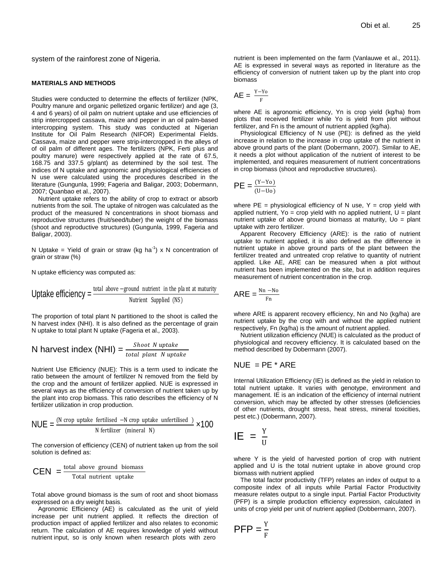system of the rainforest zone of Nigeria.

#### **MATERIALS AND METHODS**

Studies were conducted to determine the effects of fertilizer (NPK, Poultry manure and organic pelletized organic fertilizer) and age (3, 4 and 6 years) of oil palm on nutrient uptake and use efficiencies of strip intercropped cassava, maize and pepper in an oil palm-based intercropping system. This study was conducted at Nigerian Institute for Oil Palm Research (NIFOR) Experimental Fields. Cassava, maize and pepper were strip-intercropped in the alleys of of oil palm of different ages. The fertilizers (NPK, Ferti plus and poultry manure) were respectively applied at the rate of 67.5, 168.75 and 337.5 g/plant) as determined by the soil test. The indices of N uptake and agronomic and physiological efficiencies of N use were calculated using the procedures described in the literature (Gungunla, 1999; Fageria and Baligar, 2003; Dobermann, 2007; Quanbao et al., 2007). conducted to determine the effects of fertilizer (NPK,  $AE \equiv$ <br>and organic poletized organic fertilizer one day of the order of poletical numeric uptake and use efficiency of<br>system. This study was conducted at Nigeran-<br>sys

Nutrient uptake refers to the ability of crop to extract or absorb nutrients from the soil. The uptake of nitrogen was calculated as the product of the measured N concentrations in shoot biomass and reproductive structures (fruit/seed/tuber) the weight of the biomass (shoot and reproductive structures) (Gungunla, 1999, Fageria and Baligar, 2003).

N Uptake = Yield of grain or straw (kg ha<sup>-1</sup>) x N concentration of grain or straw (%)

N uptake efficiency was computed as:

Update efficiency = 
$$
\frac{\text{total above} - \text{ground nutrient in the plant at maturity}}{\text{Nutrient Supplement (NS)}}
$$

The proportion of total plant N partitioned to the shoot is called the N harvest index (NHI). It is also defined as the percentage of grain N uptake to total plant N uptake (Fageria et al.*,* 2003).

N harvest index (NHI) = 
$$
\frac{Show\ N\ uptake}{total\ plant\ N\ uptake}
$$

Nutrient Use Efficiency (NUE): This is a term used to indicate the ratio between the amount of fertilizer N removed from the field by the crop and the amount of fertilizer applied. NUE is expressed in several ways as the efficiency of conversion of nutrient taken up by the plant into crop biomass. This ratio describes the efficiency of N fertilizer utilization in crop production.

$$
NUE = \frac{(N \text{ crop uptake fertilised } -N \text{ crop uptake unfertilised } )}{N \text{ fertilizer (mineral } N)}
$$
 ×100

The conversion of efficiency (CEN) of nutrient taken up from the soil solution is defined as:

$$
CEN = \frac{\text{total above ground biomass}}{\text{Total nutrient uptake}}
$$

Total above ground biomass is the sum of root and shoot biomass expressed on a dry weight basis.

Agronomic Efficiency (AE) is calculated as the unit of yield increase per unit nutrient applied. It reflects the direction of production impact of applied fertilizer and also relates to economic return. The calculation of AE requires knowledge of yield without nutrient input, so is only known when research plots with zero

nutrient is been implemented on the farm (Vanlauwe et al.*,* 2011). AE is expressed in several ways as reported in literature as the efficiency of conversion of nutrient taken up by the plant into crop biomass

$$
AE = \frac{Y - Y_0}{F}
$$

where AE is agronomic efficiency, Yn is crop yield (kg/ha) from plots that received fertilizer while Yo is yield from plot without fertilizer, and Fn is the amount of nutrient applied (kg/ha).

Physiological Efficiency of N use (PE): is defined as the yield increase in relation to the increase in crop uptake of the nutrient in above ground parts of the plant (Dobermann, 2007). Similar to AE, it needs a plot without application of the nutrient of interest to be implemented, and requires measurement of nutrient concentrations in crop biomass (shoot and reproductive structures).

$$
PE = \frac{(Y-Y_0)}{(U-U_0)}
$$

where  $PE =$  physiological efficiency of N use, Y = crop yield with applied nutrient, Yo = crop yield with no applied nutrient,  $U =$  plant nutrient uptake of above ground biomass at maturity, Uo = plant uptake with zero fertilizer.

Apparent Recovery Efficiency (ARE): is the ratio of nutrient uptake to nutrient applied, it is also defined as the difference in nutrient uptake in above ground parts of the plant between the fertilizer treated and untreated crop relative to quantity of nutrient applied. Like AE, ARE can be measured when a plot without nutrient has been implemented on the site, but in addition requires measurement of nutrient concentration in the crop.

$$
ARE = \frac{Nn - No}{Fn}
$$

where ARE is apparent recovery efficiency, Nn and No (kg/ha) are nutrient uptake by the crop with and without the applied nutrient respectively, Fn (kg/ha) is the amount of nutrient applied.

Nutrient utilization efficiency (NUE) is calculated as the product of physiological and recovery efficiency. It is calculated based on the method described by Dobermann (2007).

#### $NUE = PE * ARE$

Internal Utilization Efficiency (IE) is defined as the yield in relation to total nutrient uptake. It varies with genotype, environment and management. IE is an indication of the efficiency of internal nutrient conversion, which may be affected by other stresses (deficiencies of other nutrients, drought stress, heat stress, mineral toxicities, pest etc.) (Dobermann, 2007).

$$
IE = \frac{Y}{U}
$$

where Y is the yield of harvested portion of crop with nutrient applied and U is the total nutrient uptake in above ground crop biomass with nutrient applied

The total factor productivity (TFP) relates an index of output to a composite index of all inputs while Partial Factor Productivity measure relates output to a single input. Partial Factor Productivity (PFP) is a simple production efficiency expression, calculated in units of crop yield per unit of nutrient applied (Dobbermann, 2007).

$$
PFP = \frac{Y}{F}
$$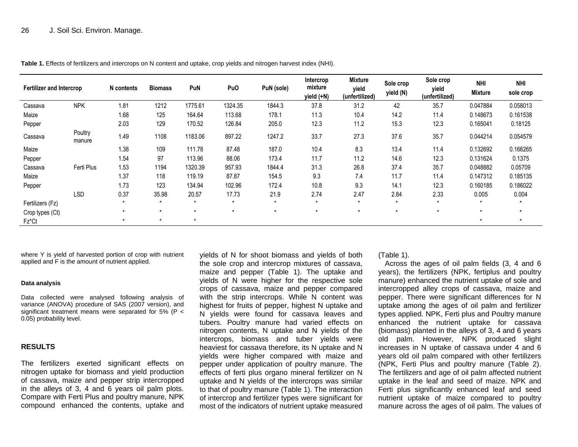| <b>Fertilizer and Intercrop</b> |                   | N contents | <b>Biomass</b> | PuN     | PuO     | PuN (sole) | Intercrop<br>mixture<br>yield (+N) | <b>Mixture</b><br>yield<br>(unfertilized) | Sole crop<br>yield (N) | Sole crop<br>yield<br>(unfertilized) | <b>NHI</b><br><b>Mixture</b> | <b>NHI</b><br>sole crop |
|---------------------------------|-------------------|------------|----------------|---------|---------|------------|------------------------------------|-------------------------------------------|------------------------|--------------------------------------|------------------------------|-------------------------|
| Cassava                         | <b>NPK</b>        | 1.81       | 1212           | 1775.61 | 1324.35 | 1844.3     | 37.8                               | 31.2                                      | 42                     | 35.7                                 | 0.047884                     | 0.058013                |
| Maize                           |                   | 1.68       | 125            | 164.64  | 113.68  | 178.1      | 11.3                               | 10.4                                      | 14.2                   | 11.4                                 | 0.148673                     | 0.161538                |
| Pepper                          |                   | 2.03       | 129            | 170.52  | 126.84  | 205.0      | 12.3                               | 11.2                                      | 15.3                   | 12.3                                 | 0.165041                     | 0.18125                 |
| Cassava                         | Poultry<br>manure | 1.49       | 1108           | 1183.06 | 897.22  | 1247.2     | 33.7                               | 27.3                                      | 37.6                   | 35.7                                 | 0.044214                     | 0.054579                |
| Maize                           |                   | 1.38       | 109            | 111.78  | 87.48   | 187.0      | 10.4                               | 8.3                                       | 13.4                   | 11.4                                 | 0.132692                     | 0.166265                |
| Pepper                          |                   | 1.54       | 97             | 113.96  | 88.06   | 173.4      | 11.7                               | 11.2                                      | 14.6                   | 12.3                                 | 0.131624                     | 0.1375                  |
| Cassava                         | Ferti Plus        | 1.53       | 1194           | 1320.39 | 957.93  | 1844.4     | 31.3                               | 26.8                                      | 37.4                   | 35.7                                 | 0.048882                     | 0.05709                 |
| Maize                           |                   | 1.37       | 118            | 119.19  | 87.87   | 154.5      | 9.3                                | 7.4                                       | 11.7                   | 11.4                                 | 0.147312                     | 0.185135                |
| Pepper                          |                   | 1.73       | 123            | 134.94  | 102.96  | 172.4      | 10.8                               | 9.3                                       | 14.1                   | 12.3                                 | 0.160185                     | 0.186022                |
|                                 | <b>LSD</b>        | 0.37       | 35.98          | 20.57   | 17.73   | 21.9       | 2.74                               | 2.47                                      | 2.84                   | 2.33                                 | 0.005                        | 0.004                   |
| Fertilizers (Fz)                |                   | $\star$    | $\star$        | $\star$ | $\star$ | $\star$    | $\star$                            | $\star$                                   | $\star$                | $\star$                              |                              | $\star$                 |
| Crop types (Ct)                 |                   | $\star$    | $\star$        | $\star$ | $\star$ | $\star$    | $\star$                            | $\star$                                   | $\star$                | $\star$                              | $\star$                      | $\star$                 |
| Fz*Ct                           |                   |            | $\star$        | *       |         |            |                                    |                                           |                        |                                      | $\star$                      | $\star$                 |

**Table 1.** Effects of fertilizers and intercrops on N content and uptake, crop yields and nitrogen harvest index (NHI).

where Y is yield of harvested portion of crop with nutrient applied and F is the amount of nutrient applied.

#### **Data analysis**

Data collected were analysed following analysis of variance (ANOVA) procedure of SAS (2007 version), and significant treatment means were separated for 5% (P < 0.05) probability level.

#### **RESULTS**

The fertilizers exerted significant effects on nitrogen uptake for biomass and yield production of cassava, maize and pepper strip intercropped in the alleys of 3, 4 and 6 years oil palm plots. Compare with Ferti Plus and poultry manure, NPK compound enhanced the contents, uptake and

yields of N for shoot biomass and yields of both the sole crop and intercrop mixtures of cassava, maize and pepper (Table 1). The uptake and yields of N were higher for the respective sole crops of cassava, maize and pepper compared with the strip intercrops. While N content was highest for fruits of pepper, highest N uptake and N yields were found for cassava leaves and tubers. Poultry manure had varied effects on nitrogen contents, N uptake and N yields of the intercrops, biomass and tuber yields were heaviest for cassava therefore, its N uptake and N yields were higher compared with maize and pepper under application of poultry manure. The effects of ferti plus organo mineral fertilizer on N uptake and N yields of the intercrops was similar to that of poultry manure (Table 1). The interaction of intercrop and fertilizer types were significant for most of the indicators of nutrient uptake measured

(Table 1).

Across the ages of oil palm fields (3, 4 and 6 years), the fertilizers (NPK, fertiplus and poultry manure) enhanced the nutrient uptake of sole and intercropped alley crops of cassava, maize and pepper. There were significant differences for N uptake among the ages of oil palm and fertilizer types applied. NPK, Ferti plus and Poultry manure enhanced the nutrient uptake for cassava (biomass) planted in the alleys of 3, 4 and 6 years old palm. However, NPK produced slight increases in N uptake of cassava under 4 and 6 years old oil palm compared with other fertilizers (NPK, Ferti Plus and poultry manure (Table 2). The fertilizers and age of oil palm affected nutrient uptake in the leaf and seed of maize. NPK and Ferti plus significantly enhanced leaf and seed nutrient uptake of maize compared to poultry manure across the ages of oil palm. The values of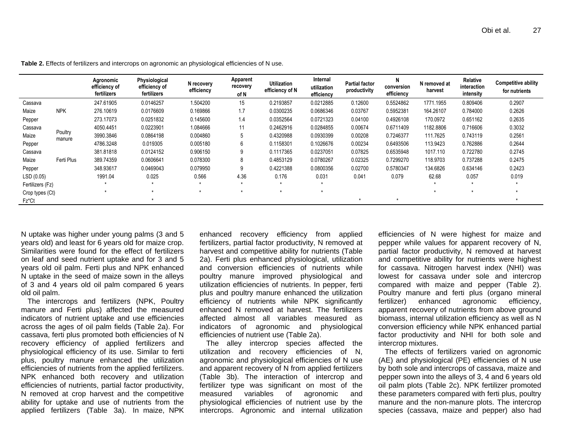|                  |                   | Agronomic<br>efficiency of<br>fertilizers | Physiological<br>efficiency of<br>fertilizers | N recovery<br>efficiency | Apparent<br>recovery<br>of N | <b>Utilization</b><br>efficiency of N | Internal<br>utilization<br>efficiency | <b>Partial factor</b><br>productivity | N<br>conversion<br>efficiency | N removed at<br>harvest | Relative<br>interaction<br>intensity | <b>Competitive ability</b><br>for nutrients |
|------------------|-------------------|-------------------------------------------|-----------------------------------------------|--------------------------|------------------------------|---------------------------------------|---------------------------------------|---------------------------------------|-------------------------------|-------------------------|--------------------------------------|---------------------------------------------|
| Cassava          |                   | 247.61905                                 | 0.0146257                                     | 1.504200                 | 15                           | 0.2193857                             | 0.0212885                             | 0.12600                               | 0.5524862                     | 1771.1955               | 0.809406                             | 0.2907                                      |
| Maize            | <b>NPK</b>        | 276.10619                                 | 0.0176609                                     | 0.169866                 | 1.7                          | 0.0300235                             | 0.0686346                             | 0.03767                               | 0.5952381                     | 164.26107               | 0.784000                             | 0.2626                                      |
| Pepper           |                   | 273.17073                                 | 0.0251832                                     | 0.145600                 | 1.4                          | 0.0352564                             | 0.0721323                             | 0.04100                               | 0.4926108                     | 170.0972                | 0.651162                             | 0.2635                                      |
| Cassava          |                   | 4050.4451                                 | 0.0223901                                     | 1.084666                 | 11                           | 0.2462916                             | 0.0284855                             | 0.00674                               | 0.6711409                     | 1182.8806               | 0.716606                             | 0.3032                                      |
| Maize            | Poultry<br>manure | 3990.3846                                 | 0.0864198                                     | 0.004860                 | 5                            | 0.4320988                             | 0.0930399                             | 0.00208                               | 0.7246377                     | 111.7625                | 0.743119                             | 0.2561                                      |
| Pepper           |                   | 4786.3248                                 | 0.019305                                      | 0.005180                 | 6                            | 0.1158301                             | 0.1026676                             | 0.00234                               | 0.6493506                     | 113.9423                | 0.762886                             | 0.2644                                      |
| Cassava          |                   | 381.81818                                 | 0.0124152                                     | 0.906150                 | 9                            | 0.1117365                             | 0.0237051                             | 0.07825                               | 0.6535948                     | 1017.110                | 0.722780                             | 0.2745                                      |
| Maize            | Ferti Plus        | 389.74359                                 | 0.0606641                                     | 0.078300                 | 8                            | 0.4853129                             | 0.0780267                             | 0.02325                               | 0.7299270                     | 118.9703                | 0.737288                             | 0.2475                                      |
| Pepper           |                   | 348.93617                                 | 0.0469043                                     | 0.079950                 | 9                            | 0.4221388                             | 0.0800356                             | 0.02700                               | 0.5780347                     | 134.6826                | 0.634146                             | 0.2423                                      |
| LSD (0.05)       |                   | 1991.04                                   | 0.025                                         | 0.566                    | 4.36                         | 0.176                                 | 0.031                                 | 0.041                                 | 0.079                         | 62.68                   | 0.057                                | 0.019                                       |
| Fertilizers (Fz) |                   | *                                         |                                               | $\star$                  |                              | $\star$                               | $\star$                               |                                       |                               | $\star$                 | $\star$                              |                                             |
| Crop types (Ct)  |                   | $\star$                                   |                                               |                          | $\star$                      |                                       | $\star$                               |                                       |                               |                         | $\star$                              |                                             |
| Fz*Ct            |                   |                                           |                                               |                          |                              |                                       |                                       |                                       |                               |                         |                                      |                                             |

**Table 2.** Effects of fertilizers and intercrops on agronomic an physiological efficiencies of N use.

N uptake was higher under young palms (3 and 5 years old) and least for 6 years old for maize crop. Similarities were found for the effect of fertilizers on leaf and seed nutrient uptake and for 3 and 5 years old oil palm. Ferti plus and NPK enhanced N uptake in the seed of maize sown in the alleys of 3 and 4 years old oil palm compared 6 years old oil palm.

The intercrops and fertilizers (NPK, Poultry manure and Ferti plus) affected the measured indicators of nutrient uptake and use efficiencies across the ages of oil palm fields (Table 2a). For cassava, ferti plus promoted both efficiencies of N recovery efficiency of applied fertilizers and physiological efficiency of its use. Similar to ferti plus, poultry manure enhanced the utilization efficiencies of nutrients from the applied fertilizers. NPK enhanced both recovery and utilization efficiencies of nutrients, partial factor productivity, N removed at crop harvest and the competitive ability for uptake and use of nutrients from the applied fertilizers (Table 3a). In maize, NPK

enhanced recovery efficiency from applied fertilizers, partial factor productivity, N removed at harvest and competitive ability for nutrients (Table 2a). Ferti plus enhanced physiological, utilization and conversion efficiencies of nutrients while poultry manure improved physiological and utilization efficiencies of nutrients. In pepper, ferti plus and poultry manure enhanced the utilization efficiency of nutrients while NPK significantly enhanced N removed at harvest. The fertilizers affected almost all variables measured as indicators of agronomic and physiological efficiencies of nutrient use (Table 2a).

The alley intercrop species affected the utilization and recovery efficiencies of N, agronomic and physiological efficiencies of N use and apparent recovery of N from applied fertilizers (Table 3b). The interaction of intercrop and fertilizer type was significant on most of the measured variables of agronomic and physiological efficiencies of nutrient use by the intercrops. Agronomic and internal utilization

efficiencies of N were highest for maize and pepper while values for apparent recovery of N, partial factor productivity, N removed at harvest and competitive ability for nutrients were highest for cassava. Nitrogen harvest index (NHI) was lowest for cassava under sole and intercrop compared with maize and pepper (Table 2). Poultry manure and ferti plus (organo mineral fertilizer) enhanced agronomic efficiency, apparent recovery of nutrients from above ground biomass, internal utilization efficiency as well as N conversion efficiency while NPK enhanced partial factor productivity and NHI for both sole and intercrop mixtures.

The effects of fertilizers varied on agronomic (AE) and physiological (PE) efficiencies of N use by both sole and intercrops of cassava, maize and pepper sown into the alleys of 3, 4 and 6 years old oil palm plots (Table 2c). NPK fertilizer promoted these parameters compared with ferti plus, poultry manure and the non-manure plots. The intercrop species (cassava, maize and pepper) also had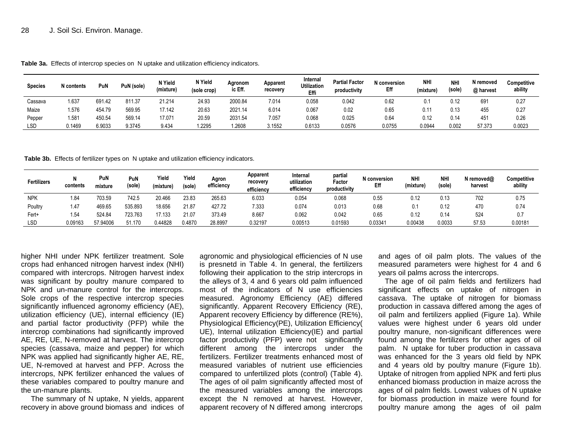| <b>Species</b> | N contents | PuN    | PuN (sole) | N Yield<br>(mixture | N Yield<br>(sole crop) | Agronom<br>ic Eff. | Apparent<br>recovery | Internal<br><b>'Itilization</b><br>Effi | <b>Partial Factor</b><br>productivity | N conversion<br>Eff | <b>NHI</b><br>'mixture) | <b>NHI</b><br>(sole) | N removed<br>@ harvest | Competitive<br>ability |
|----------------|------------|--------|------------|---------------------|------------------------|--------------------|----------------------|-----------------------------------------|---------------------------------------|---------------------|-------------------------|----------------------|------------------------|------------------------|
| Cassava        | 1.637      | 691.42 | 811.37     | 21.214              | 24.93                  | 2000.84            | 7.014                | 0.058                                   | 0.042                                 | 0.62                |                         | 0.12                 | 691                    | 0.27                   |
| Maize          | 1.576      | 454.79 | 569.95     | 17.142              | 20.63                  | 2021.14            | 6.014                | 0.067                                   | 0.02                                  | 0.65                | 0.11                    | 0.13                 | 455                    | 0.27                   |
| Pepper         | 1.581      | 450.54 | 569.14     | 17.071              | 20.59                  | 2031.54            | 7.057                | 0.068                                   | 0.025                                 | 0.64                | 0.12                    | 0.14                 | 451                    | 0.26                   |
| <b>LSD</b>     | 0.1469     | 6.9033 | 9.3745     | 9.434               | .2295                  | .2608              | 3.1552               | 0.6133                                  | 0.0576                                | 0.0755              | 0.0944                  | 0.002                | 57.373                 | 0.0023                 |

**Table 3a.** Effects of intercrop species on N uptake and utilization efficiency indicators.

**Table 3b.** Effects of fertilizer types on N uptake and utilization efficiency indicators.

| Fertilizers | contents | PuN<br>mixture | PuN<br>(sole) | Yield<br>(mixture) | Yield<br>(sole) | Agron<br>efficiency | Apparent<br>recovery<br>efficiency | Internal<br>utilization<br>efficiency | partial<br>Factor<br>productivity | N conversion<br>Eff | <b>NH</b><br>(mixture | <b>NHI</b><br>(sole) | N removed@<br>harvest | Competitive<br>ability |
|-------------|----------|----------------|---------------|--------------------|-----------------|---------------------|------------------------------------|---------------------------------------|-----------------------------------|---------------------|-----------------------|----------------------|-----------------------|------------------------|
| <b>NPK</b>  | 1.84     | 703.59         | 742.5         | 20.466             | 23.83           | 265.63              | 6.033                              | 0.054                                 | 0.068                             | 0.55                | 0.12                  | 0.13                 | 702                   | 0.75                   |
| Poultry     | 1.47     | 469.65         | 535.893       | 18.656             | 21.87           | 427.72              | 7.333                              | 0.074                                 | 0.013                             | 0.68                |                       | 0.12                 | 470                   | 0.74                   |
| Fert+       | 1.54     | 524.84         | 723.763       | 17.133             | 21.07           | 373.49              | 8.667                              | 0.062                                 | 0.042                             | 0.65                | 0.12                  | 0.14                 | 524                   | 0.7                    |
| LSD         | 09163    | 57.9400F       | 51.170        | 0.44828            | 0.4870          | 28.8997             | 0.32197                            | 0.00513                               | 0.01593                           | 0.03341             | 0.00438               | 0.0033               | 57.53                 | 0.00181                |

higher NHI under NPK fertilizer treatment. Sole crops had enhanced nitrogen harvest index (NHI) compared with intercrops. Nitrogen harvest index was significant by poultry manure compared to NPK and un-manure control for the intercrops. Sole crops of the respective intercrop species significantly influenced agronomy efficiency (AE), utilization efficiency (UE), internal efficiency (IE) and partial factor productivity (PFP) while the intercrop combinations had significantly improved AE, RE, UE, N-removed at harvest. The intercrop species (cassava, maize and pepper) for which NPK was applied had significantly higher AE, RE, UE, N-removed at harvest and PFP. Across the intercrops, NPK fertilizer enhanced the values of these variables compared to poultry manure and the un-manure plants.

The summary of N uptake, N yields, apparent recovery in above ground biomass and indices of

agronomic and physiological efficiencies of N use is presnetd in Table 4. In general, the fertilizers following their application to the strip intercrops in the alleys of 3, 4 and 6 years old palm influenced most of the indicators of N use efficiencies measured. Agronomy Efficiency (AE) differed significantly. Apparent Recovery Efficiency (RE), Apparent recovery Efficiency by difference (RE%), Physiological Efficiency(PE), Utilization Efficiency( UE), Internal utilization Efficiency(IE) and partial factor productivity (PFP) were not significantly different among the intercrops under the fertilizers. Fertilizer treatments enhanced most of measured variables of nutrient use efficiencies compared to unfertilized plots (control) (Table 4). The ages of oil palm significantly affected most of the measured variables among the intercrops except the N removed at harvest. However, apparent recovery of N differed among intercrops

and ages of oil palm plots. The values of the measured parameters were highest for 4 and 6 years oil palms across the intercrops.

The age of oil palm fields and fertilizers had significant effects on uptake of nitrogen in cassava. The uptake of nitrogen for biomass production in cassava differed among the ages of oil palm and fertilizers applied (Figure 1a). While values were highest under 6 years old under poultry manure, non-significant differences were found among the fertilizers for other ages of oil palm. N uptake for tuber production in cassava was enhanced for the 3 years old field by NPK and 4 years old by poultry manure (Figure 1b). Uptake of nitrogen from applied NPK and ferti plus enhanced biomass production in maize across the ages of oil palm fields. Lowest values of N uptake for biomass production in maize were found for poultry manure among the ages of oil palm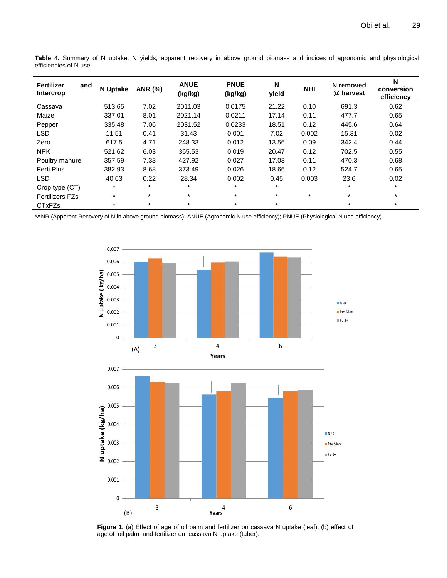| Fertilizer<br>and<br>Intercrop | <b>N</b> Uptake | <b>ANR (%)</b> | <b>ANUE</b><br>(kg/kg) | <b>PNUE</b><br>(kg/kg) | N<br>yield | <b>NHI</b> | N removed<br>@ harvest | N<br>conversion<br>efficiency |
|--------------------------------|-----------------|----------------|------------------------|------------------------|------------|------------|------------------------|-------------------------------|
| Cassava                        | 513.65          | 7.02           | 2011.03                | 0.0175                 | 21.22      | 0.10       | 691.3                  | 0.62                          |
| Maize                          | 337.01          | 8.01           | 2021.14                | 0.0211                 | 17.14      | 0.11       | 477.7                  | 0.65                          |
| Pepper                         | 335.48          | 7.06           | 2031.52                | 0.0233                 | 18.51      | 0.12       | 445.6                  | 0.64                          |
| <b>LSD</b>                     | 11.51           | 0.41           | 31.43                  | 0.001                  | 7.02       | 0.002      | 15.31                  | 0.02                          |
| Zero                           | 617.5           | 4.71           | 248.33                 | 0.012                  | 13.56      | 0.09       | 342.4                  | 0.44                          |
| <b>NPK</b>                     | 521.62          | 6.03           | 365.53                 | 0.019                  | 20.47      | 0.12       | 702.5                  | 0.55                          |
| Poultry manure                 | 357.59          | 7.33           | 427.92                 | 0.027                  | 17.03      | 0.11       | 470.3                  | 0.68                          |
| Ferti Plus                     | 382.93          | 8.68           | 373.49                 | 0.026                  | 18.66      | 0.12       | 524.7                  | 0.65                          |
| <b>LSD</b>                     | 40.63           | 0.22           | 28.34                  | 0.002                  | 0.45       | 0.003      | 23.6                   | 0.02                          |
| Crop type (CT)                 | $\star$         | $\star$        | $\star$                | $\star$                | $\star$    |            | $\star$                | $\star$                       |
| <b>Fertilizers FZs</b>         | $\star$         | $\star$        | $^\star$               | $\star$                | $\star$    | $\star$    | $\star$                | $\star$                       |
| <b>CTxFZs</b>                  | $\star$         | $\star$        | $\star$                | $\star$                | $\star$    |            | $\star$                | $\star$                       |

**Table 4.** Summary of N uptake, N yields, apparent recovery in above ground biomass and indices of agronomic and physiological efficiencies of N use.

\*ANR (Apparent Recovery of N in above ground biomass); ANUE (Agronomic N use efficiency); PNUE (Physiological N use efficiency).



Figure 1. (a) Effect of age of oil palm and fertilizer on cassava N uptake (leaf), (b) effect of age of oil palm and fertilizer on cassava N uptake (tuber).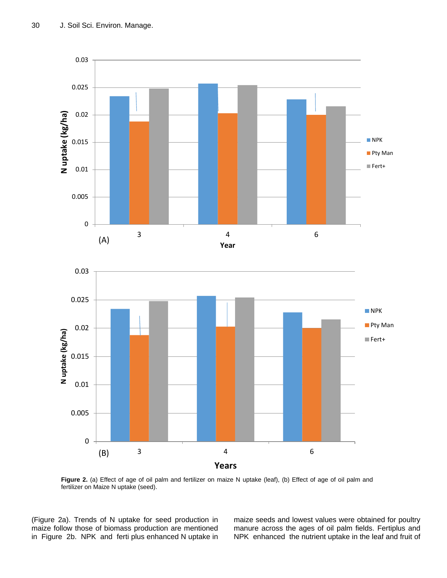



**Figure 2.** (a) Effect of age of oil palm and fertilizer on maize N uptake (leaf), (b) Effect of age of oil palm and fertilizer on Maize N uptake (seed).

(Figure 2a). Trends of N uptake for seed production in maize follow those of biomass production are mentioned in Figure 2b. NPK and ferti plus enhanced N uptake in maize seeds and lowest values were obtained for poultry manure across the ages of oil palm fields. Fertiplus and NPK enhanced the nutrient uptake in the leaf and fruit of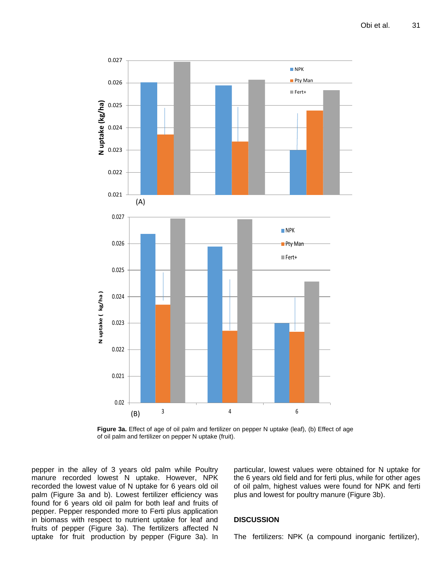

**Figure 3a.** Effect of age of oil palm and fertilizer on pepper N uptake (leaf), (b) Effect of age of oil palm and fertilizer on pepper N uptake (fruit).

pepper in the alley of 3 years old palm while Poultry manure recorded lowest N uptake. However, NPK recorded the lowest value of N uptake for 6 years old oil palm (Figure 3a and b). Lowest fertilizer efficiency was found for 6 years old oil palm for both leaf and fruits of pepper. Pepper responded more to Ferti plus application in biomass with respect to nutrient uptake for leaf and fruits of pepper (Figure 3a). The fertilizers affected N uptake for fruit production by pepper (Figure 3a). In particular, lowest values were obtained for N uptake for the 6 years old field and for ferti plus, while for other ages of oil palm, highest values were found for NPK and ferti plus and lowest for poultry manure (Figure 3b).

## **DISCUSSION**

The fertilizers: NPK (a compound inorganic fertilizer),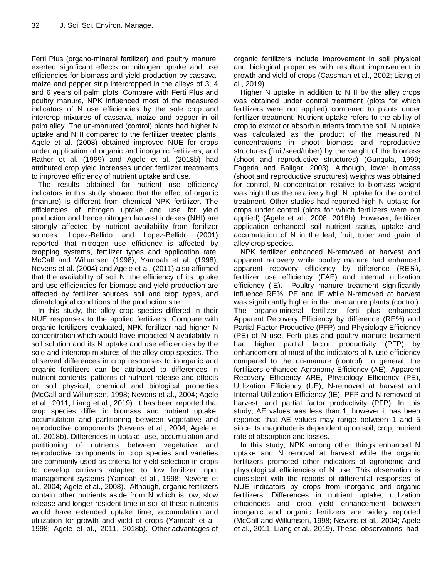Ferti Plus (organo-mineral fertilizer) and poultry manure, exerted significant effects on nitrogen uptake and use efficiencies for biomass and yield production by cassava, maize and pepper strip intercropped in the alleys of 3, 4 and 6 years oil palm plots. Compare with Ferti Plus and poultry manure, NPK influenced most of the measured indicators of N use efficiencies by the sole crop and intercrop mixtures of cassava, maize and pepper in oil palm alley. The un-manured (control) plants had higher N uptake and NHI compared to the fertilizer treated plants. Agele et al. (2008) obtained improved NUE for crops under application of organic and inorganic fertilizers, and Rather et al. (1999) and Agele et al. (2018b) had attributed crop yield increases under fertilizer treatments to improved efficiency of nutrient uptake and use.

The results obtained for nutrient use efficiency indicators in this study showed that the effect of organic (manure) is different from chemical NPK fertilizer. The efficiencies of nitrogen uptake and use for yield production and hence nitrogen harvest indexes (NHI) are strongly affected by nutrient availability from fertilizer sources. Lopez-Bellido and Lopez-Bellido (2001) reported that nitrogen use efficiency is affected by cropping systems, fertilizer types and application rate. McCall and Willumsen (1998), Yamoah et al. (1998), Nevens et al. (2004) and Agele et al. (2011) also affirmed that the availability of soil N, the efficiency of its uptake and use efficiencies for biomass and yield production are affected by fertilizer sources, soil and crop types, and climatological conditions of the production site.

In this study, the alley crop species differed in their NUE responses to the applied fertilizers. Compare with organic fertilizers evaluated, NPK fertilizer had higher N concentration which would have impacted N availability in soil solution and its N uptake and use efficiencies by the sole and intercrop mixtures of the alley crop species. The observed differences in crop responses to inorganic and organic fertilizers can be attributed to differences in nutrient contents, patterns of nutrient release and effects on soil physical, chemical and biological properties (McCall and Willumsen, 1998; Nevens et al., 2004; Agele et al., 2011; Liang et al., 2019). It has been reported that crop species differ in biomass and nutrient uptake, accumulation and partitioning between vegetative and reproductive components (Nevens et al., 2004; Agele et al., 2018b). Differences in uptake, use, accumulation and partitioning of nutrients between vegetative and reproductive components in crop species and varieties are commonly used as criteria for yield selection in crops to develop cultivars adapted to low fertilizer input management systems (Yamoah et al., 1998; Nevens et al., 2004; Agele et al., 2008). Although, organic fertilizers contain other nutrients aside from N which is low, slow release and longer resident time in soil of these nutrients would have extended uptake time, accumulation and utilization for growth and yield of crops (Yamoah et al., 1998; Agele et al., 2011, 2018b). Other advantages of

organic fertilizers include improvement in soil physical and biological properties with resultant improvement in growth and yield of crops (Cassman et al., 2002; Liang et al., 2019).

Higher N uptake in addition to NHI by the alley crops was obtained under control treatment (plots for which fertilizers were not applied) compared to plants under fertilizer treatment. Nutrient uptake refers to the ability of crop to extract or absorb nutrients from the soil. N uptake was calculated as the product of the measured N concentrations in shoot biomass and reproductive structures (fruit/seed/tuber) by the weight of the biomass (shoot and reproductive structures) (Gungula, 1999; Fageria and Baligar, 2003). Although, lower biomass (shoot and reproductive structures) weights was obtained for control, N concentration relative to biomass weight was high thus the relatively high N uptake for the control treatment. Other studies had reported high N uptake for crops under control (plots for which fertilizers were not applied) (Agele et al., 2008, 2018b). However, fertilizer application enhanced soil nutrient status, uptake and accumulation of N in the leaf, fruit, tuber and grain of alley crop species.

NPK fertilizer enhanced N-removed at harvest and apparent recovery while poultry manure had enhanced apparent recovery efficiency by difference (RE%), fertilizer use efficiency (FAE) and internal utilization efficiency (IE). Poultry manure treatment significantly influence RE%, PE and IE while N-removed at harvest was significantly higher in the un-manure plants (control). The organo-mineral fertilizer, ferti plus enhanced Apparent Recovery Efficiency by difference (RE%) and Partial Factor Productive (PFP) and Physiology Efficiency (PE) of N use. Ferti plus and poultry manure treatment had higher partial factor productivity (PFP) by enhancement of most of the indicators of N use efficiency compared to the un-manure (control). In general, the fertilizers enhanced Agronomy Efficiency (AE), Apparent Recovery Efficiency ARE, Physiology Efficiency (PE), Utilization Efficiency (UE), N-removed at harvest and Internal Utilization Efficiency (IE), PFP and N-removed at harvest, and partial factor productivity (PFP). In this study, AE values was less than 1, however it has been reported that AE values may range between 1 and 5 since its magnitude is dependent upon soil, crop, nutrient rate of absorption and losses.

In this study, NPK among other things enhanced N uptake and N removal at harvest while the organic fertilizers promoted other indicators of agronomic and physiological efficiencies of N use. This observation is consistent with the reports of differential responses of NUE indicators by crops from inorganic and organic fertilizers. Differences in nutrient uptake, utilization efficiencies and crop yield enhancement between inorganic and organic fertilizers are widely reported (McCall and Willumsen, 1998; Nevens et al., 2004; Agele et al., 2011; Liang et al., 2019). These observations had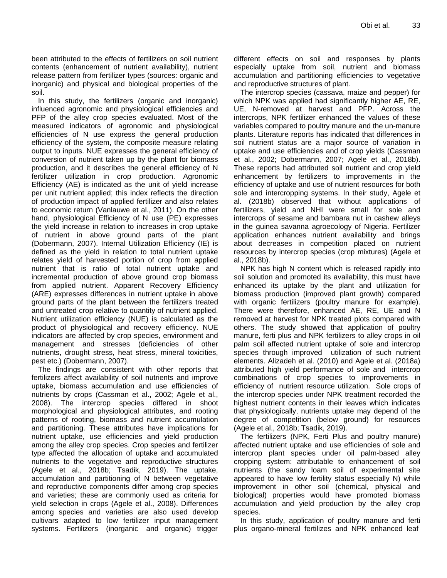been attributed to the effects of fertilizers on soil nutrient contents (enhancement of nutrient availability), nutrient release pattern from fertilizer types (sources: organic and inorganic) and physical and biological properties of the soil.

In this study, the fertilizers (organic and inorganic) influenced agronomic and physiological efficiencies and PFP of the alley crop species evaluated. Most of the measured indicators of agronomic and physiological efficiencies of N use express the general production efficiency of the system, the composite measure relating output to inputs. NUE expresses the general efficiency of conversion of nutrient taken up by the plant for biomass production, and it describes the general efficiency of N fertilizer utilization in crop production. Agronomic Efficiency (AE) is indicated as the unit of yield increase per unit nutrient applied; this index reflects the direction of production impact of applied fertilizer and also relates to economic return (Vanlauwe et al., 2011). On the other hand, physiological Efficiency of N use (PE) expresses the yield increase in relation to increases in crop uptake of nutrient in above ground parts of the plant (Dobermann, 2007). Internal Utilization Efficiency (IE) is defined as the yield in relation to total nutrient uptake relates yield of harvested portion of crop from applied nutrient that is ratio of total nutrient uptake and incremental production of above ground crop biomass from applied nutrient. Apparent Recovery Efficiency (ARE) expresses differences in nutrient uptake in above ground parts of the plant between the fertilizers treated and untreated crop relative to quantity of nutrient applied. Nutrient utilization efficiency (NUE) is calculated as the product of physiological and recovery efficiency. NUE indicators are affected by crop species, environment and management and stresses (deficiencies of other nutrients, drought stress, heat stress, mineral toxicities, pest etc.) (Dobermann, 2007).

The findings are consistent with other reports that fertilizers affect availability of soil nutrients and improve uptake, biomass accumulation and use efficiencies of nutrients by crops (Cassman et al., 2002; Agele et al., 2008). The intercrop species differed in shoot morphological and physiological attributes, and rooting patterns of rooting, biomass and nutrient accumulation and partitioning. These attributes have implications for nutrient uptake, use efficiencies and yield production among the alley crop species. Crop species and fertilizer type affected the allocation of uptake and accumulated nutrients to the vegetative and reproductive structures (Agele et al., 2018b; Tsadik, 2019). The uptake, accumulation and partitioning of N between vegetative and reproductive components differ among crop species and varieties; these are commonly used as criteria for yield selection in crops (Agele et al., 2008). Differences among species and varieties are also used develop cultivars adapted to low fertilizer input management systems. Fertilizers (inorganic and organic) trigger

different effects on soil and responses by plants especially uptake from soil, nutrient and biomass accumulation and partitioning efficiencies to vegetative and reproductive structures of plant.

The intercrop species (cassava, maize and pepper) for which NPK was applied had significantly higher AE, RE, UE, N-removed at harvest and PFP. Across the intercrops, NPK fertilizer enhanced the values of these variables compared to poultry manure and the un-manure plants. Literature reports has indicated that differences in soil nutrient status are a major source of variation in uptake and use efficiencies and of crop yields (Cassman et al., 2002; Dobermann, 2007; Agele et al., 2018b). These reports had attributed soil nutrient and crop yield enhancement by fertilizers to improvements in the efficiency of uptake and use of nutrient resources for both sole and intercropping systems. In their study, Agele et al. (2018b) observed that without applications of fertilizers, yield and NHI were small for sole and intercrops of sesame and bambara nut in cashew alleys in the guinea savanna agroecology of Nigeria. Fertilizer application enhances nutrient availability and brings about decreases in competition placed on nutrient resources by intercrop species (crop mixtures) (Agele et al., 2018b).

NPK has high N content which is released rapidly into soil solution and promoted its availability, this must have enhanced its uptake by the plant and utilization for biomass production (improved plant growth) compared with organic fertilizers (poultry manure for example). There were therefore, enhanced AE, RE, UE and N removed at harvest for NPK treated plots compared with others. The study showed that application of poultry manure, ferti plus and NPK fertilizers to alley crops in oil palm soil affected nutrient uptake of sole and intercrop species through improved utilization of such nutrient elements. Alizadeh et al. (2010) and Agele et al. (2018a) attributed high yield performance of sole and intercrop combinations of crop species to improvements in efficiency of nutrient resource utilization. Sole crops of the intercrop species under NPK treatment recorded the highest nutrient contents in their leaves which indicates that physiologically, nutrients uptake may depend of the degree of competition (below ground) for resources (Agele et al., 2018b; Tsadik, 2019).

The fertilizers (NPK, Ferti Plus and poultry manure) affected nutrient uptake and use efficiencies of sole and intercrop plant species under oil palm-based alley cropping system: attributable to enhancement of soil nutrients (the sandy loam soil of experimental site appeared to have low fertility status especially N) while improvement in other soil (chemical, physical and biological) properties would have promoted biomass accumulation and yield production by the alley crop species.

In this study, application of poultry manure and ferti plus organo-mineral fertilizes and NPK enhanced leaf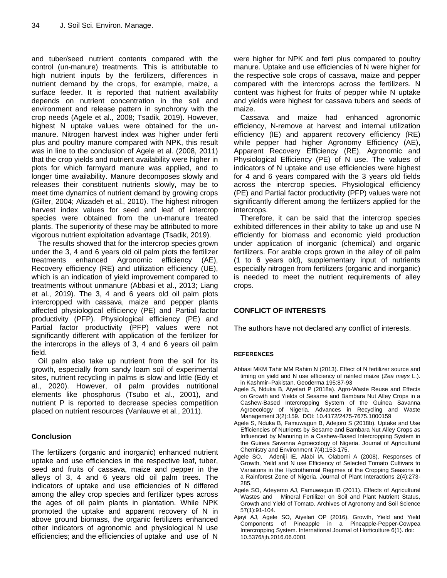and tuber/seed nutrient contents compared with the control (un-manure) treatments. This is attributable to high nutrient inputs by the fertilizers, differences in nutrient demand by the crops, for example, maize, a surface feeder. It is reported that nutrient availability depends on nutrient concentration in the soil and environment and release pattern in synchrony with the crop needs (Agele et al., 2008; Tsadik, 2019). However, highest N uptake values were obtained for the unmanure. Nitrogen harvest index was higher under ferti plus and poultry manure compared with NPK, this result was in line to the conclusion of Agele et al. (2008, 2011) that the crop yields and nutrient availability were higher in plots for which farmyard manure was applied, and to longer time availability. Manure decomposes slowly and releases their constituent nutrients slowly, may be to meet time dynamics of nutrient demand by growing crops (Giller, 2004; Alizadeh et al., 2010). The highest nitrogen harvest index values for seed and leaf of intercrop species were obtained from the un-manure treated plants. The superiority of these may be attributed to more vigorous nutrient exploitation advantage (Tsadik, 2019).

The results showed that for the intercrop species grown under the 3, 4 and 6 years old oil palm plots the fertilizer treatments enhanced Agronomic efficiency (AE), Recovery efficiency (RE) and utilization efficiency (UE), which is an indication of yield improvement compared to treatments without unmanure (Abbasi et al., 2013; Liang et al., 2019). The 3, 4 and 6 years old oil palm plots intercropped with cassava, maize and pepper plants affected physiological efficiency (PE) and Partial factor productivity (PFP). Physiological efficiency (PE) and Partial factor productivity (PFP) values were not significantly different with application of the fertilizer for the intercrops in the alleys of 3, 4 and 6 years oil palm field.

Oil palm also take up nutrient from the soil for its growth, especially from sandy loam soil of experimental sites, nutrient recycling in palms is slow and little (Edy et al., 2020). However, oil palm provides nutritional elements like phosphorus (Tsubo et al., 2001), and nutrient P is reported to decrease species competition placed on nutrient resources (Vanlauwe et al., 2011).

## **Conclusion**

The fertilizers (organic and inorganic) enhanced nutrient uptake and use efficiencies in the respective leaf, tuber, seed and fruits of cassava, maize and pepper in the alleys of 3, 4 and 6 years old oil palm trees. The indicators of uptake and use efficiencies of N differed among the alley crop species and fertilizer types across the ages of oil palm plants in plantation. While NPK promoted the uptake and apparent recovery of N in above ground biomass, the organic fertilizers enhanced other indicators of agronomic and physiological N use efficiencies; and the efficiencies of uptake and use of N were higher for NPK and ferti plus compared to poultry manure. Uptake and use efficiencies of N were higher for the respective sole crops of cassava, maize and pepper compared with the intercrops across the fertilizers. N content was highest for fruits of pepper while N uptake and yields were highest for cassava tubers and seeds of maize.

Cassava and maize had enhanced agronomic efficiency, N-remove at harvest and internal utilization efficiency (IE) and apparent recovery efficiency (RE) while pepper had higher Agronomy Efficiency (AE), Apparent Recovery Efficiency (RE), Agronomic and Physiological Efficiency (PE) of N use. The values of indicators of N uptake and use efficiencies were highest for 4 and 6 years compared with the 3 years old fields across the intercrop species. Physiological efficiency (PE) and Partial factor productivity (PFP) values were not significantly different among the fertilizers applied for the intercrops.

Therefore, it can be said that the intercrop species exhibited differences in their ability to take up and use N efficiently for biomass and economic yield production under application of inorganic (chemical) and organic fertilizers. For arable crops grown in the alley of oil palm (1 to 6 years old), supplementary input of nutrients especially nitrogen from fertilizers (organic and inorganic) is needed to meet the nutrient requirements of alley crops.

# **CONFLICT OF INTERESTS**

The authors have not declared any conflict of interests.

#### **REFERENCES**

- Abbasi MKM Tahir MM Rahim N (2013). Effect of N fertilizer source and timing on yield and N use efficiency of rainfed maize (*Zea mays* L.). in Kashmir–Pakistan. Geoderma 195:87-93
- Agele S, Nduka B, Aiyelari P (2018a). Agro-Waste Reuse and Effects on Growth and Yields of Sesame and Bambara Nut Alley Crops in a Cashew-Based Intercropping System of the Guinea Savanna Agroecology of Nigeria. Advances in Recycling and Waste Management 3(2):159. DOI[: 10.4172/2475-7675.1000159](https://doi.org/10.4172/2475-7675.1000159)
- Agele S, Nduka B, Famuwagun B, Adejoro S (2018b). Uptake and Use Efficiencies of Nutrients by Sesame and Bambara Nut Alley Crops as Influenced by Manuring in a Cashew-Based Intercropping System in the Guinea Savanna Agroecology of Nigeria. Journal of Agricultural Chemistry and Environment 7(4):153-175.
- Agele SO, Adeniji IE, Alabi IA, Olabomi A (2008). Responses of Growth, Yeild and N use Efficiency of Selected Tomato Cultivars to Variaitons in the Hydrothermal Regimes of the Cropping Seasons in a Rainforest Zone of Nigeria. Journal of Plant Interactions 2(4):273- 285.
- Agele SO, Adeyemo AJ, Famuwagun IB (2011). Effects of Agricultural Wastes and Mineral Fertilizer on Soil and Plant Nutrient Status, Growth and Yield of Tomato. Archives of Agronomy and Soil Science 57(1):91-104.
- Ajayi AJ, Agele SO, Aiyelari OP (2016). Growth, Yield and Yield Components of Pineapple in a Pineapple-Pepper-Cowpea Intercropping System. International Journal of Horticulture 6(1). doi: 10.5376/ijh.2016.06.0001